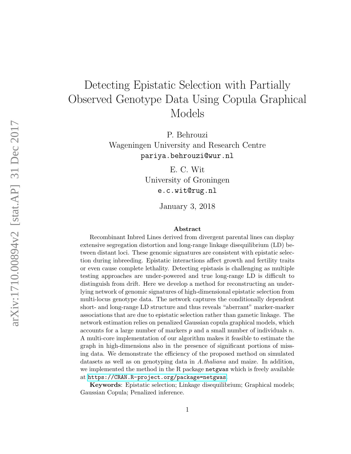# Detecting Epistatic Selection with Partially Observed Genotype Data Using Copula Graphical Models

P. Behrouzi Wageningen University and Research Centre pariya.behrouzi@wur.nl

> E. C. Wit University of Groningen e.c.wit@rug.nl

> > January 3, 2018

#### Abstract

Recombinant Inbred Lines derived from divergent parental lines can display extensive segregation distortion and long-range linkage disequilibrium (LD) between distant loci. These genomic signatures are consistent with epistatic selection during inbreeding. Epistatic interactions affect growth and fertility traits or even cause complete lethality. Detecting epistasis is challenging as multiple testing approaches are under-powered and true long-range LD is difficult to distinguish from drift. Here we develop a method for reconstructing an underlying network of genomic signatures of high-dimensional epistatic selection from multi-locus genotype data. The network captures the conditionally dependent short- and long-range LD structure and thus reveals "aberrant" marker-marker associations that are due to epistatic selection rather than gametic linkage. The network estimation relies on penalized Gaussian copula graphical models, which accounts for a large number of markers  $p$  and a small number of individuals  $n$ . A multi-core implementation of our algorithm makes it feasible to estimate the graph in high-dimensions also in the presence of significant portions of missing data. We demonstrate the efficiency of the proposed method on simulated datasets as well as on genotyping data in A.thaliana and maize. In addition, we implemented the method in the R package netgwas which is freely available at <https://CRAN.R-project.org/package=netgwas>.

Keywords: Epistatic selection; Linkage disequilibrium; Graphical models; Gaussian Copula; Penalized inference.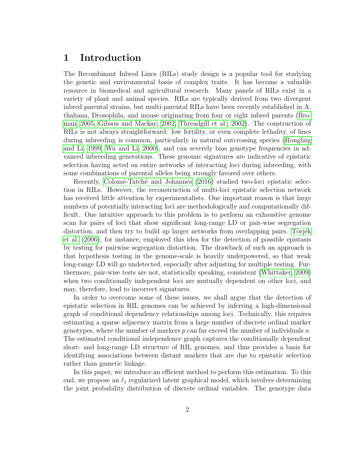### 1 Introduction

The Recombinant Inbred Lines (RILs) study design is a popular tool for studying the genetic and environmental basis of complex traits. It has become a valuable resource in biomedical and agricultural research. Many panels of RILs exist in a variety of plant and animal species. RILs are typically derived from two divergent inbred parental strains, but multi-parental RILs have been recently established in A. thaliana, Drosophila, and mouse originating from four or eight inbred parents [\(Bro](#page-24-0)[man, 2005,](#page-24-0) [Gibson and Mackay, 2002,](#page-25-0) [Threadgill et al., 2002\)](#page-26-0). The construction of RILs is not always straightforward: low fertility, or even complete lethality, of lines during inbreeding is common, particularly in natural outcrossing species [\(Rongling](#page-26-1) [and Li, 1999,](#page-26-1) [Wu and Li, 2000\)](#page-26-2), and can severely bias genotype frequencies in advanced inbreeding generations. These genomic signatures are indicative of epistatic selection having acted on entire networks of interacting loci during inbreeding, with some combinations of parental alleles being strongly favored over others.

Recently, Colomé-Tatché and Johannes [\(2016\)](#page-24-1) studied two-loci epistatic selection in RILs. However, the reconstruction of multi-loci epistatic selection network has received little attention by experimentalists. One important reason is that large numbers of potentially interacting loci are methodologically and computationally difficult. One intuitive approach to this problem is to perform an exhaustive genome scan for pairs of loci that show significant long-range LD or pair-wise segregation distortion, and then try to build up larger networks from overlapping pairs. Törjék [et al.](#page-26-3) [\(2006\)](#page-26-3), for instance, employed this idea for the detection of possible epistasis by testing for pairwise segregation distortion. The drawback of such an approach is that hypothesis testing in the genome-scale is heavily underpowered, so that weak long-range LD will go undetected, especially after adjusting for multiple testing. Furthermore, pair-wise tests are not, statistically speaking, consistent [\(Whittaker, 2009\)](#page-26-4) when two conditionally independent loci are mutually dependent on other loci, and may, therefore, lead to incorrect signatures.

In order to overcome some of these issues, we shall argue that the detection of epistatic selection in RIL genomes can be achieved by inferring a high-dimensional graph of conditional dependency relationships among loci. Technically, this requires estimating a sparse adjacency matrix from a large number of discrete ordinal marker genotypes, where the number of markers  $p$  can far exceed the number of individuals  $n$ . The estimated conditional independence graph captures the conditionally dependent short- and long-range LD structure of RIL genomes, and thus provides a basis for identifying associations between distant markers that are due to epistatic selection rather than gametic linkage.

In this paper, we introduce an efficient method to perform this estimation. To this end, we propose an  $\ell_1$  regularized latent graphical model, which involves determining the joint probability distribution of discrete ordinal variables. The genotype data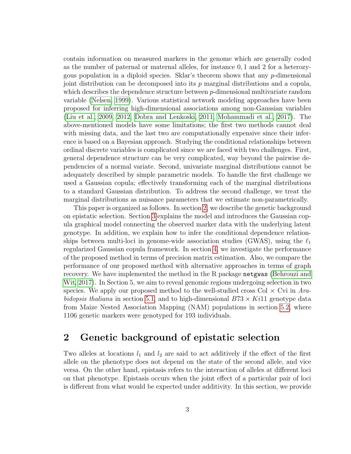contain information on measured markers in the genome which are generally coded as the number of paternal or maternal alleles, for instance 0, 1 and 2 for a heterozygous population in a diploid species. Sklar's theorem shows that any p-dimensional joint distribution can be decomposed into its  $p$  marginal distributions and a copula, which describes the dependence structure between p-dimensional multivariate random variable [\(Nelsen, 1999\)](#page-26-5). Various statistical network modeling approaches have been proposed for inferring high-dimensional associations among non-Gaussian variables [\(Liu et al., 2009,](#page-25-1) [2012,](#page-25-2) [Dobra and Lenkoski, 2011,](#page-24-2) [Mohammadi et al., 2017\)](#page-26-6). The above-mentioned models have some limitations; the first two methods cannot deal with missing data, and the last two are computationally expensive since their inference is based on a Bayesian approach. Studying the conditional relationships between ordinal discrete variables is complicated since we are faced with two challenges. First, general dependence structure can be very complicated, way beyond the pairwise dependencies of a normal variate. Second, univariate marginal distributions cannot be adequately described by simple parametric models. To handle the first challenge we used a Gaussian copula; effectively transforming each of the marginal distributions to a standard Gaussian distribution. To address the second challenge, we treat the marginal distributions as nuisance parameters that we estimate non-parametrically.

This paper is organized as follows. In section [2,](#page-2-0) we describe the genetic background on epistatic selection. Section [3](#page-5-0) explains the model and introduces the Gaussian copula graphical model connecting the observed marker data with the underlying latent genotype. In addition, we explain how to infer the conditional dependence relationships between multi-loci in genome-wide association studies (GWAS), using the  $\ell_1$ regularized Gaussian copula framework. In section [4,](#page-12-0) we investigate the performance of the proposed method in terms of precision matrix estimation. Also, we compare the performance of our proposed method with alternative approaches in terms of graph recovery. We have implemented the method in the R package netgwas [\(Behrouzi and](#page-22-0) [Wit, 2017\)](#page-22-0). In Section 5, we aim to reveal genomic regions undergoing selection in two species. We apply our proposed method to the well-studied cross Col  $\times$  Cvi in Ara-bidopsis thaliana in section [5.1,](#page-16-0) and to high-dimensional  $B73 \times Ki11$  genotype data from Maize Nested Association Mapping (NAM) populations in section [5.2,](#page-19-0) where 1106 genetic markers were genotyped for 193 individuals.

### <span id="page-2-0"></span>2 Genetic background of epistatic selection

Two alleles at locations  $l_1$  and  $l_2$  are said to act additively if the effect of the first allele on the phenotype does not depend on the state of the second allele, and vice versa. On the other hand, epistasis refers to the interaction of alleles at different loci on that phenotype. Epistasis occurs when the joint effect of a particular pair of loci is different from what would be expected under additivity. In this section, we provide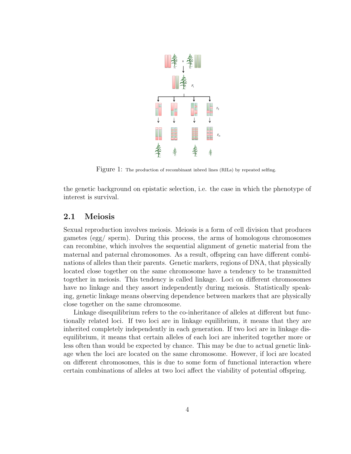

<span id="page-3-0"></span>Figure 1: The production of recombinant inbred lines (RILs) by repeated selfing.

the genetic background on epistatic selection, i.e. the case in which the phenotype of interest is survival.

#### 2.1 Meiosis

Sexual reproduction involves meiosis. Meiosis is a form of cell division that produces gametes (egg/ sperm). During this process, the arms of homologous chromosomes can recombine, which involves the sequential alignment of genetic material from the maternal and paternal chromosomes. As a result, offspring can have different combinations of alleles than their parents. Genetic markers, regions of DNA, that physically located close together on the same chromosome have a tendency to be transmitted together in meiosis. This tendency is called linkage. Loci on different chromosomes have no linkage and they assort independently during meiosis. Statistically speaking, genetic linkage means observing dependence between markers that are physically close together on the same chromosome.

Linkage disequilibrium refers to the co-inheritance of alleles at different but functionally related loci. If two loci are in linkage equilibrium, it means that they are inherited completely independently in each generation. If two loci are in linkage disequilibrium, it means that certain alleles of each loci are inherited together more or less often than would be expected by chance. This may be due to actual genetic linkage when the loci are located on the same chromosome. However, if loci are located on different chromosomes, this is due to some form of functional interaction where certain combinations of alleles at two loci affect the viability of potential offspring.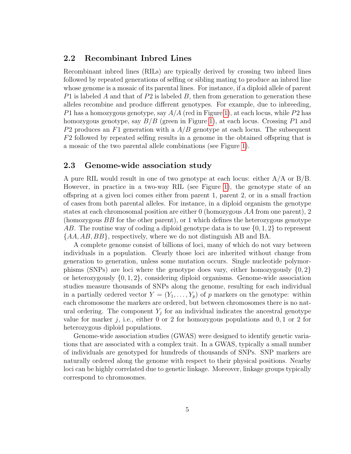#### 2.2 Recombinant Inbred Lines

Recombinant inbred lines (RILs) are typically derived by crossing two inbred lines followed by repeated generations of selfing or sibling mating to produce an inbred line whose genome is a mosaic of its parental lines. For instance, if a diploid allele of parent P1 is labeled A and that of P2 is labeled B, then from generation to generation these alleles recombine and produce different genotypes. For example, due to inbreeding, P1 has a homozygous genotype, say  $A/A$  (red in Figure [1\)](#page-3-0), at each locus, while P2 has homozygous genotype, say  $B/B$  (green in Figure [1\)](#page-3-0), at each locus. Crossing P1 and P2 produces an F1 generation with a  $A/B$  genotype at each locus. The subsequent F2 followed by repeated selfing results in a genome in the obtained offspring that is a mosaic of the two parental allele combinations (see Figure [1\)](#page-3-0).

#### 2.3 Genome-wide association study

A pure RIL would result in one of two genotype at each locus: either A/A or B/B. However, in practice in a two-way RIL (see Figure [1\)](#page-3-0), the genotype state of an offspring at a given loci comes either from parent 1, parent 2, or in a small fraction of cases from both parental alleles. For instance, in a diploid organism the genotype states at each chromosomal position are either 0 (homozygous AA from one parent), 2 (homozygous  $BB$  for the other parent), or 1 which defines the heterozygous genotype AB. The routine way of coding a diploid genotype data is to use  $\{0, 1, 2\}$  to represent {AA, AB, BB}, respectively, where we do not distinguish AB and BA.

A complete genome consist of billions of loci, many of which do not vary between individuals in a population. Clearly those loci are inherited without change from generation to generation, unless some mutation occurs. Single nucleotide polymorphisms (SNPs) are loci where the genotype does vary, either homozygously  $\{0, 2\}$ or heterozygously  $\{0, 1, 2\}$ , considering diploid organisms. Genome-wide association studies measure thousands of SNPs along the genome, resulting for each individual in a partially ordered vector  $Y = (Y_1, \ldots, Y_p)$  of p markers on the genotype: within each chromosome the markers are ordered, but between chromosomes there is no natural ordering. The component  $Y_j$  for an individual indicates the ancestral genotype value for marker j, i.e., either 0 or 2 for homozygous populations and  $0, 1$  or 2 for heterozygous diploid populations.

Genome-wide association studies (GWAS) were designed to identify genetic variations that are associated with a complex trait. In a GWAS, typically a small number of individuals are genotyped for hundreds of thousands of SNPs. SNP markers are naturally ordered along the genome with respect to their physical positions. Nearby loci can be highly correlated due to genetic linkage. Moreover, linkage groups typically correspond to chromosomes.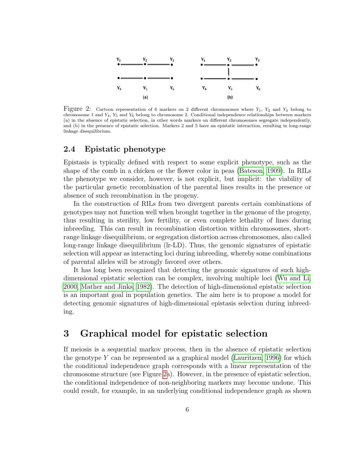

<span id="page-5-1"></span>Figure 2: Cartoon representation of 6 markers on 2 different chromosomes where  $Y_1$ ,  $Y_2$  and  $Y_3$  belong to chromosome 1 and  $Y_4$ ,  $Y_5$  and  $Y_6$  belong to chromosome 2. Conditional independence relationships between markers (a) in the absence of epistatic selection, in other words markers on different chromosomes segregate independently, and (b) in the presence of epistatic selection. Markers 2 and 5 have an epistatic interaction, resulting in long-range linkage disequilibrium.

### 2.4 Epistatic phenotype

Epistasis is typically defined with respect to some explicit phenotype, such as the shape of the comb in a chicken or the flower color in peas [\(Bateson, 1909\)](#page-22-1). In RILs the phenotype we consider, however, is not explicit, but implicit: the viability of the particular genetic recombination of the parental lines results in the presence or absence of such recombination in the progeny.

In the construction of RILs from two divergent parents certain combinations of genotypes may not function well when brought together in the genome of the progeny, thus resulting in sterility, low fertility, or even complete lethality of lines during inbreeding. This can result in recombination distortion within chromosomes, shortrange linkage disequilibrium, or segregation distortion across chromosomes, also called long-range linkage disequilibrium (lr-LD). Thus, the genomic signatures of epistatic selection will appear as interacting loci during inbreeding, whereby some combinations of parental alleles will be strongly favored over others.

It has long been recognized that detecting the genomic signatures of such highdimensional epistatic selection can be complex, involving multiple loci [\(Wu and Li,](#page-26-2) [2000,](#page-26-2) [Mather and Jinks, 1982\)](#page-25-3). The detection of high-dimensional epistatic selection is an important goal in population genetics. The aim here is to propose a model for detecting genomic signatures of high-dimensional epistasis selection during inbreeding.

### <span id="page-5-0"></span>3 Graphical model for epistatic selection

If meiosis is a sequential markov process, then in the absence of epistatic selection the genotype  $Y$  can be represented as a graphical model [\(Lauritzen, 1996\)](#page-25-4) for which the conditional independence graph corresponds with a linear representation of the chromosome structure (see Figure [2a](#page-5-1)). However, in the presence of epistatic selection, the conditional independence of non-neighboring markers may become undone. This could result, for example, in an underlying conditional independence graph as shown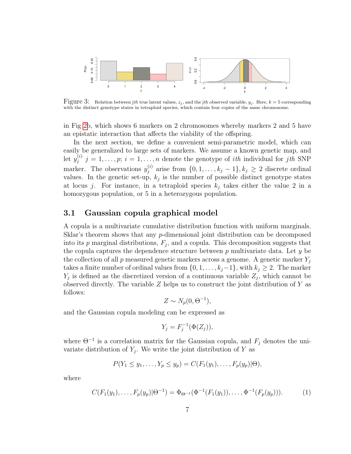

<span id="page-6-0"></span>Figure 3: Relation between jth true latent values,  $z_j$ , and the jth observed variable,  $y_j$ . Here,  $k = 5$  corresponding with the distinct genotype states in tetraploid species, which contain four copies of the same chromosome.

in Fig [2b](#page-5-1), which shows 6 markers on 2 chromosomes whereby markers 2 and 5 have an epistatic interaction that affects the viability of the offspring.

In the next section, we define a convenient semi-parametric model, which can easily be generalized to large sets of markers. We assume a known genetic map, and let  $y_i^{(i)}$  $j^{(i)}$   $j = 1, \ldots, p; i = 1, \ldots, n$  denote the genotype of *ith* individual for *jth* SNP marker. The observations  $y_i^{(i)}$  $j_j^{(i)}$  arise from  $\{0, 1, \ldots, k_j - 1\}, k_j \geq 2$  discrete ordinal values. In the genetic set-up,  $k_j$  is the number of possible distinct genotype states at locus j. For instance, in a tetraploid species  $k_j$  takes either the value 2 in a homozygous population, or 5 in a heterozygous population.

#### 3.1 Gaussian copula graphical model

A copula is a multivariate cumulative distribution function with uniform marginals. Sklar's theorem shows that any p-dimensional joint distribution can be decomposed into its  $p$  marginal distributions,  $F_j$ , and a copula. This decomposition suggests that the copula captures the dependence structure between  $p$  multivariate data. Let  $y$  be the collection of all  $p$  measured genetic markers across a genome. A genetic marker  $Y_i$ takes a finite number of ordinal values from  $\{0, 1, \ldots, k_j-1\}$ , with  $k_j \geq 2$ . The marker  $Y_j$  is defined as the discretized version of a continuous variable  $Z_j$ , which cannot be observed directly. The variable  $Z$  helps us to construct the joint distribution of  $Y$  as follows:

$$
Z \sim N_p(0, \Theta^{-1}),
$$

and the Gaussian copula modeling can be expressed as

$$
Y_j = F_j^{-1}(\Phi(Z_j)),
$$

where  $\Theta^{-1}$  is a correlation matrix for the Gaussian copula, and  $F_j$  denotes the univariate distribution of  $Y_j$ . We write the joint distribution of Y as

$$
P(Y_1 \le y_1, \ldots, Y_p \le y_p) = C(F_1(y_1), \ldots, F_p(y_p) | \Theta),
$$

where

$$
C(F_1(y_1),\ldots,F_p(y_p)|\Theta^{-1}) = \Phi_{\Theta^{-1}}(\Phi^{-1}(F_1(y_1)),\ldots,\Phi^{-1}(F_p(y_p))).
$$
 (1)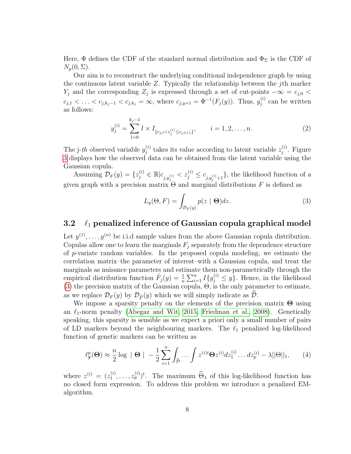Here,  $\Phi$  defines the CDF of the standard normal distribution and  $\Phi_{\Sigma}$  is the CDF of  $N_p(0,\Sigma)$ .

Our aim is to reconstruct the underlying conditional independence graph by using the continuous latent variable  $Z$ . Typically the relationship between the *j*th marker  $Y_j$  and the corresponding  $Z_j$  is expressed through a set of cut-points  $-\infty = c_{j,0}$  $c_{j,1} < \ldots < c_{j,k_j-1} < c_{j,k_j} = \infty$ , where  $c_{j,y+1} = \Phi^{-1}(F_j(y))$ . Thus,  $y_j^{(i)}$  $j^{(i)}$  can be written as follows:

$$
y_j^{(i)} = \sum_{l=0}^{k_j - 1} l \times I_{\{c_{j,l} < z_j^{(i)} \le c_{j,l+1}\}}, \qquad i = 1, 2, \dots, n. \tag{2}
$$

The j-th observed variable  $y_i^{(i)}$  $j_j^{(i)}$  takes its value according to latent variable  $z_j^{(i)}$  $j^{(i)}$ . Figure [3](#page-6-0) displays how the observed data can be obtained from the latent variable using the Gaussian copula.

Assuming  $\mathcal{D}_F(y) = \{z_j^{(i)} \in \mathbb{R} | c_{j,y_j^{(i)}} < z_j^{(i)} \le c_{j,y_j^{(i)}+1} \},\$  the likelihood function of a given graph with a precision matrix  $\Theta$  and marginal distributions F is defined as

<span id="page-7-0"></span>
$$
L_y(\Theta, F) = \int_{\mathcal{D}_F(y)} p(z \mid \Theta) dz.
$$
 (3)

#### <span id="page-7-2"></span>3.2  $\ell_1$  penalized inference of Gaussian copula graphical model

Let  $y^{(1)}, \ldots, y^{(n)}$  be i.i.d sample values from the above Gaussian copula distribution. Copulas allow one to learn the marginals  $F_i$  separately from the dependence structure of p-variate random variables. In the proposed copula modeling, we estimate the correlation matrix–the parameter of interest–with a Gaussian copula, and treat the marginals as nuisance parameters and estimate them non-parametrically through the empirical distribution function  $\hat{F}_j(y) = \frac{1}{n} \sum_{i=1}^n I\{y_j^{(i)} \leq y\}$ . Hence, in the likelihood [\(3\)](#page-7-0) the precision matrix of the Gaussian copula, Θ, is the only parameter to estimate, as we replace  $\mathcal{D}_F(y)$  by  $\mathcal{D}_{\hat{F}}(y)$  which we will simply indicate as  $\hat{\mathcal{D}}$ .

We impose a sparsity penalty on the elements of the precision matrix  $\Theta$  using an  $\ell_1$ -norm penalty [\(Abegaz and Wit, 2015,](#page-22-2) [Friedman et al., 2008\)](#page-25-5). Genetically speaking, this sparsity is sensible as we expect a priori only a small number of pairs of LD markers beyond the neighbouring markers. The  $\ell_1$  penalized log-likelihood function of genetic markers can be written as

<span id="page-7-1"></span>
$$
\ell_{\mathbf{y}}^p(\Theta) \approx \frac{n}{2} \log \|\Theta\| - \frac{1}{2} \sum_{i=1}^n \int_{\widehat{\mathcal{D}}} \dots \int z^{(i)t} \Theta z^{(i)} dz_1^{(i)} \dots dz_p^{(i)} - \lambda ||\Theta||_1,\qquad(4)
$$

where  $z^{(i)} = (z_1^{(i)})$  $\widehat{P}_{\lambda}^{(i)}, \ldots, z_p^{(i)}$ . The maximum  $\widehat{\Theta}_{\lambda}$  of this log-likelihood function has no closed form expression. To address this problem we introduce a penalized EMalgorithm.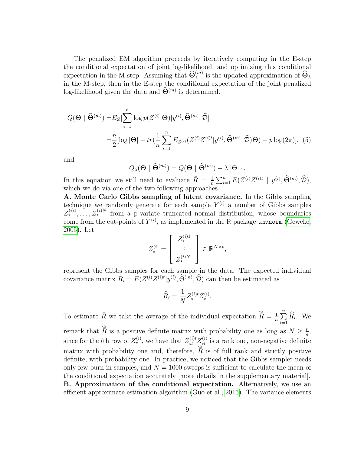The penalized EM algorithm proceeds by iteratively computing in the E-step the conditional expectation of joint log-likelihood, and optimizing this conditional expectation in the M-step. Assuming that  $\widehat{\Theta}_{\lambda}^{(m)}$  is the updated approximation of  $\widehat{\Theta}_{\lambda}$ in the M-step, then in the E-step the conditional expectation of the joint penalized log-likelihood given the data and  $\widehat{\Theta}^{(m)}$  is determined.

$$
Q(\mathbf{\Theta} \mid \widehat{\mathbf{\Theta}}^{(m)}) = E_Z[\sum_{i=1}^n \log p(Z^{(i)}|\mathbf{\Theta})|y^{(i)}, \widehat{\mathbf{\Theta}}^{(m)}, \widehat{\mathcal{D}}]
$$
  
= 
$$
\frac{n}{2} [\log |\mathbf{\Theta}| - tr(\frac{1}{n} \sum_{i=1}^n E_{Z^{(i)}}(Z^{(i)} Z^{(i)t}|y^{(i)}, \widehat{\mathbf{\Theta}}^{(m)}, \widehat{\mathcal{D}})\mathbf{\Theta}) - p \log(2\pi)], (5)
$$

and

<span id="page-8-1"></span><span id="page-8-0"></span>
$$
Q_{\lambda}(\mathbf{\Theta} \mid \widehat{\mathbf{\Theta}}^{(m)}) = Q(\mathbf{\Theta} \mid \widehat{\mathbf{\Theta}}^{(m)}) - \lambda ||\mathbf{\Theta}||_1.
$$

In this equation we still need to evaluate  $\bar{R} = \frac{1}{n}$  $\frac{1}{n} \sum_{i=1}^{n} E(Z^{(i)} Z^{(i)t} \mid y^{(i)}, \widehat{\Theta}^{(m)}, \widehat{\mathcal{D}}),$ which we do via one of the two following approaches.

A. Monte Carlo Gibbs sampling of latent covariance. In the Gibbs sampling technique we randomly generate for each sample  $Y^{(i)}$  a number of Gibbs samples  $Z_{\star}^{(i)1}, \ldots, Z_{\star}^{(i)N}$  from a p-variate truncated normal distribution, whose boundaries come from the cut-points of  $Y^{(i)}$ , as implemented in the R package twonorm [\(Geweke,](#page-25-6) [2005\)](#page-25-6). Let

$$
Z_{\star}^{(i)} = \left[ \begin{array}{c} Z_{\star}^{(i)1} \\ \vdots \\ Z_{\star}^{(i)N} \end{array} \right] \in \mathbb{R}^{N \times p},
$$

represent the Gibbs samples for each sample in the data. The expected individual covariance matrix  $R_i = E(Z^{(i)}Z^{(i)t}|y^{(i)}, \widehat{\Theta}^{(m)}, \widehat{\mathcal{D}})$  can then be estimated as

$$
\widehat{R}_i = \frac{1}{N} Z_{\star}^{(i)t} Z_{\star}^{(i)}.
$$

To estimate  $\bar{R}$  we take the average of the individual expectation  $\hat{\bar{R}} = \frac{1}{n}$  $\frac{1}{n}$  $\sum_{n=1}^{n}$  $\sum_{i=1} R_i$ . We remark that  $\hat{\vec{R}}$  is a positive definite matrix with probability one as long as  $N \geq \frac{p}{n}$  $\frac{p}{n}$ , since for the *l*th row of  $Z_{\star}^{(i)}$ , we have that  $Z_{\star l}^{(i)} Z_{\star l}^{(i)}$  is a rank one, non-negative definite matrix with probability one and, therefore,  $\hat{\vec{R}}$  is of full rank and strictly positive definite, with probability one. In practice, we noticed that the Gibbs sampler needs only few burn-in samples, and  $N = 1000$  sweeps is sufficient to calculate the mean of the conditional expectation accurately [more details in the supplementary material]. B. Approximation of the conditional expectation. Alternatively, we use an efficient approximate estimation algorithm [\(Guo et al., 2015\)](#page-25-7). The variance elements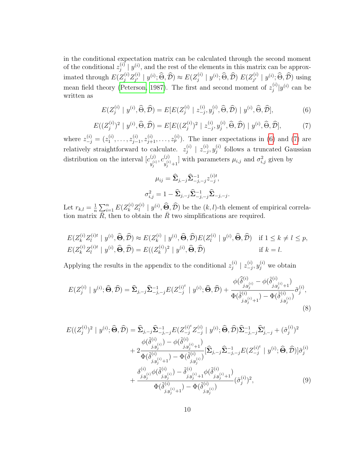in the conditional expectation matrix can be calculated through the second moment of the conditional  $z_i^{(i)}$  $j^{(i)}$  |  $y^{(i)}$ , and the rest of the elements in this matrix can be approximated through  $E(Z_j^{(i)}Z_{j'}^{(i)})$  $y_j^{(i)} | y^{(i)}; \widehat{\Theta}, \widehat{\mathcal{D}}) \approx E(Z_j^{(i)})$  $j^{(i)}\mid y^{(i)}; \widehat{\Theta}, \widehat{\mathcal{D}})$   $E(Z_{j'}^{(i)})$  $y^{(i)}$  |  $y^{(i)}$ ;  $\Theta$ ,  $\overline{\mathcal{D}}$ ) using mean field theory [\(Peterson, 1987\)](#page-26-7). The first and second moment of  $z_i^{(i)}$  $\int_j^{(i)}$   $|y^{(i)}|$  can be written as

$$
E(Z_j^{(i)} \mid y^{(i)}, \widehat{\Theta}, \widehat{\mathcal{D}}) = E[E(Z_j^{(i)} \mid z_{-j}^{(i)}, y_j^{(i)}, \widehat{\Theta}, \widehat{\mathcal{D}}) \mid y^{(i)}, \widehat{\Theta}, \widehat{\mathcal{D}}],
$$
(6)

<span id="page-9-0"></span>
$$
E((Z_j^{(i)})^2 \mid y^{(i)}, \widehat{\Theta}, \widehat{\mathcal{D}}) = E[E((Z_j^{(i)})^2 \mid z_{-j}^{(i)}, y_j^{(i)}, \widehat{\Theta}, \widehat{\mathcal{D}}) \mid y^{(i)}, \widehat{\Theta}, \widehat{\mathcal{D}}],\tag{7}
$$

where  $z_{-j}^{(i)} = (z_1^{(i)}$  $z_1^{(i)}, \ldots, z_{j-}^{(i)}$  $(z_1^{(i)}, z_{j+1}^{(i)}, \ldots, z_p^{(i)})$ . The inner expectations in [\(6\)](#page-8-0) and [\(7\)](#page-9-0) are relatively straightforward to calculate.  $z_i^{(i)}$  $\begin{array}{c} \scriptstyle (i) \ \scriptstyle j \end{array} \mid \; z_{-j}^{(i)}$  $\overset{(i)}{-j},y^{(i)}_j$  $j^{(i)}$  follows a truncated Gaussian distribution on the interval  $[c^{(j)}]$  $\overset{(j)}{y_j^{(i)}}, \overset{(j)}{c_{y_j^{(i)}}^{(i)}}$  $y_j^{(j)}$ <sub> $y_j^{(i)}$ +1</sub> with parameters  $\mu_{i,j}$  and  $\sigma_{i,j}^2$  given by

<span id="page-9-1"></span>
$$
\mu_{ij} = \hat{\Sigma}_{j,-j} \hat{\Sigma}_{-j,-j}^{-1} z_{-j}^{(i)t},
$$

$$
\sigma_{i,j}^2 = 1 - \hat{\Sigma}_{j,-j} \hat{\Sigma}_{-j,-j}^{-1} \hat{\Sigma}_{-j,-j}.
$$

Let  $r_{k,l} = \frac{1}{n}$  $\frac{1}{n} \sum_{i=1}^n E(Z_k^{(i)} Z_l^{(i)}$  $\left\{ \begin{array}{c} (i) \\ l \end{array} \right\}$   $\left\{ \begin{array}{c} (j) \\ (k,j) \end{array} \right\}$  be the  $(k, l)$ -th element of empirical correlation matrix  $\overline{R}$ , then to obtain the  $\overline{R}$  two simplifications are required.

$$
E(Z_k^{(i)}Z_l^{(i)t} \mid y^{(i)}, \widehat{\Theta}, \widehat{\mathcal{D}}) \approx E(Z_k^{(i)} \mid y^{(i)}, \widehat{\Theta}, \widehat{\mathcal{D}})E(Z_l^{(i)} \mid y^{(i)}, \widehat{\Theta}, \widehat{\mathcal{D}}) \quad \text{if } 1 \le k \ne l \le p,
$$
  
\n
$$
E(Z_k^{(i)}Z_l^{(i)t} \mid y^{(i)}, \widehat{\Theta}, \widehat{\mathcal{D}}) = E((Z_k^{(i)})^2 \mid y^{(i)}, \widehat{\Theta}, \widehat{\mathcal{D}}) \qquad \text{if } k = l.
$$

Applying the results in the appendix to the conditional  $z_i^{(i)}$  $\left|\begin{array}{c} 1 \ j \end{array}\right| \left|\begin{array}{c} 2 \ -j \end{array}\right|$  $\binom{(i)}{-j}$ ,  $y_j^{(i)}$  we obtain

$$
E(Z_j^{(i)} \mid y^{(i)}; \widehat{\Theta}, \widehat{\mathcal{D}}) = \widehat{\Sigma}_{j, -j} \widehat{\Sigma}_{-j, -j}^{-1} E(Z_{-j}^{(i)^t} \mid y^{(i)}; \widehat{\Theta}, \widehat{\mathcal{D}}) + \frac{\phi(\widehat{\delta}_{j, y_j^{(i)}}^{(i)} - \phi(\widehat{\delta}_{j, y_j^{(i)}+1}^{(i)})}{\Phi(\widehat{\delta}_{j, y_j^{(i)}+1}^{(i)}) - \Phi(\widehat{\delta}_{j, y_j^{(i)}}^{(i)})} \widetilde{\sigma}_j^{(i)},
$$
\n(8)

<span id="page-9-2"></span>
$$
E((Z_j^{(i)})^2 | y^{(i)}; \widehat{\Theta}, \widehat{\mathcal{D}}) = \widehat{\Sigma}_{j, -j} \widehat{\Sigma}_{-j, -j}^{-1} E(Z_{-j}^{(i)*} Z_{-j}^{(i)} | y^{(i)}; \widehat{\Theta}, \widehat{\mathcal{D}}) \widehat{\Sigma}_{-j, -j}^{-1} \widehat{\Sigma}_{j, -j}^t + (\tilde{\sigma}_j^{(i)})^2 + 2 \frac{\phi(\tilde{\delta}_{j, y_j^{(i)}}^{(i)}) - \phi(\tilde{\delta}_{j, y_j^{(i)}+1}^{(i)})}{\Phi(\tilde{\delta}_{j, y_j^{(i)}+1}^{(i)}) - \Phi(\tilde{\delta}_{j, y_j^{(i)}}^{(i)})} [\widehat{\Sigma}_{j, -j} \widehat{\Sigma}_{-j, -j}^{-1} E(Z_{-j}^{(i)*} | y^{(i)}; \widehat{\Theta}, \widehat{\mathcal{D}})] \tilde{\sigma}_j^{(i)} + \frac{\delta_{j, y_j^{(i)}}^{(i)} \phi(\tilde{\delta}_{j, y_j^{(i)}}^{(i)}) - \tilde{\delta}_{j, y_j^{(i)}+1}^{(i)} \phi(\tilde{\delta}_{j, y_j^{(i)}+1}^{(i)})}{\Phi(\tilde{\delta}_{j, y_j^{(i)}+1}^{(i)}) - \Phi(\tilde{\delta}_{j, y_j^{(i)}}^{(i)})}
$$
(9)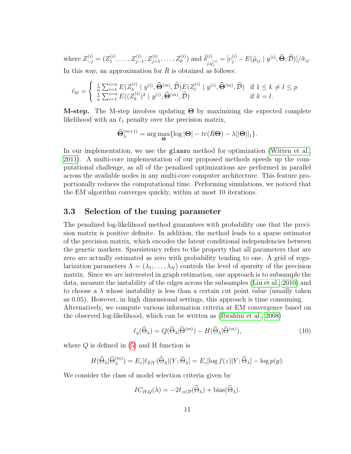where  $Z_{-j}^{(i)} = (Z_1^{(i)}$  $\tilde{Z}_{j-1}^{(i)}, \ldots, Z_{j-1}^{(i)}, Z_{j+1}^{(i)}, \ldots, Z_p^{(i)}$  and  $\tilde{\delta}_{j,n}^{(i)}$  $\tilde{g}_{j,y_j^{(i)}}^{(i)}=[c_j^{(i)}-E(\tilde{\mu}_{ij}\mid y^{(i)};\widehat{\bm{\Theta}},\widehat{\mathcal{D}})]/\tilde{\sigma}_{ij}.$ In this way, an approximation for  $R$  is obtained as follows:

$$
\tilde{r}_{kl} = \begin{cases} \frac{1}{n} \sum_{i=1}^{i=n} E(Z_k^{(i)} \mid y^{(i)}, \widehat{\Theta}^{(m)}, \widehat{\mathcal{D}}) E(Z_l^{(i)} \mid y^{(i)}, \widehat{\Theta}^{(m)}, \widehat{\mathcal{D}}) & \text{if } 1 \le k \ne l \le p \\ \frac{1}{n} \sum_{i=1}^{i=n} E((Z_k^{(i)})^2 \mid y^{(i)}, \widehat{\Theta}^{(m)}, \widehat{\mathcal{D}}) & \text{if } k = l. \end{cases}
$$

**M-step.** The M-step involves updating  $\Theta$  by maximizing the expected complete likelihood with an  $\ell_1$  penalty over the precision matrix,

$$
\widehat{\Theta}_{\lambda}^{(m+1)} = \arg \max_{\Theta} \{ \log |\Theta| - tr(\bar{R}\Theta) - \lambda ||\Theta||_1 \}.
$$

In our implementation, we use the glasso method for optimization [\(Witten et al.,](#page-26-8) [2011\)](#page-26-8). A multi-core implementation of our proposed methods speeds up the computational challenge, as all of the penalized optimizations are performed in parallel across the available nodes in any multi-core computer architecture. This feature proportionally reduces the computational time. Performing simulations, we noticed that the EM algorithm converges quickly, within at most 10 iterations.

### 3.3 Selection of the tuning parameter

The penalized log-likelihood method guarantees with probability one that the precision matrix is positive definite. In addition, the method leads to a sparse estimator of the precision matrix, which encodes the latent conditional independencies between the genetic markers. Sparsistency refers to the property that all parameters that are zero are actually estimated as zero with probability tending to one. A grid of regularization parameters  $\Lambda = (\lambda_1, \ldots, \lambda_N)$  controls the level of sparsity of the precision matrix. Since we are interested in graph estimation, one approach is to subsample the data, measure the instability of the edges across the subsamples [\(Liu et al., 2010\)](#page-25-8) and to choose a  $\lambda$  whose instability is less than a certain cut point value (usually taken as 0.05). However, in high dimensional settings, this approach is time consuming. Alternatively, we compute various information criteria at EM convergence based on

the observed log-likelihood, which can be written as [\(Ibrahim et al., 2008\)](#page-25-9)

<span id="page-10-0"></span>
$$
\ell_y(\widehat{\Theta}_{\lambda}) = Q(\widehat{\Theta}_{\lambda}|\widehat{\Theta}^{(m)}) - H(\widehat{\Theta}_{\lambda}|\widehat{\Theta}^{(m)}),\tag{10}
$$

where  $Q$  is defined in  $(5)$  and H function is

$$
H(\widehat{\Theta}_{\lambda}|\widehat{\Theta}_{\lambda}^{(m)})=E_z[\ell_{Z|Y}(\widehat{\Theta}_{\lambda})|Y;\widehat{\Theta}_{\lambda}]=E_z[\log f(z)|Y;\widehat{\Theta}_{\lambda}]-\log p(y).
$$

We consider the class of model selection criteria given by

$$
IC_{H,Q}(\lambda) = -2\ell_{z\in\mathcal{D}}(\widehat{\Theta}_{\lambda}) + \mathrm{bias}(\widehat{\Theta}_{\lambda}).
$$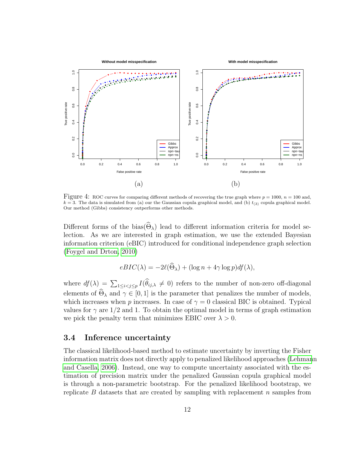

<span id="page-11-0"></span>Figure 4: ROC curves for comparing different methods of recovering the true graph where  $p = 1000$ ,  $n = 100$  and,  $k = 3$ . The data is simulated from (a) our the Gaussian copula graphical model, and (b)  $t_{(3)}$  copula graphical model. Our method (Gibbs) consistency outperforms other methods.

Different forms of the bias( $\widehat{\Theta}_{\lambda}$ ) lead to different information criteria for model selection. As we are interested in graph estimation, we use the extended Bayesian information criterion (eBIC) introduced for conditional independence graph selection [\(Foygel and Drton, 2010\)](#page-25-10)

$$
eBIC(\lambda) = -2\ell(\Theta_{\lambda}) + (\log n + 4\gamma \log p)df(\lambda),
$$

where  $df(\lambda) = \sum_{1 \leq i < j \leq p} I(\theta_{ij,\lambda} \neq 0)$  refers to the number of non-zero off-diagonal elements of  $\widehat{\Theta}_{\lambda}$  and  $\gamma \in [0,1]$  is the parameter that penalizes the number of models, which increases when p increases. In case of  $\gamma = 0$  classical BIC is obtained. Typical values for  $\gamma$  are 1/2 and 1. To obtain the optimal model in terms of graph estimation we pick the penalty term that minimizes EBIC over  $\lambda > 0$ .

#### <span id="page-11-1"></span>3.4 Inference uncertainty

The classical likelihood-based method to estimate uncertainty by inverting the Fisher information matrix does not directly apply to penalized likelihood approaches [\(Lehman](#page-25-11)n [and Casella, 2006\)](#page-25-11). Instead, one way to compute uncertainty associated with the estimation of precision matrix under the penalized Gaussian copula graphical model is through a non-parametric bootstrap. For the penalized likelihood bootstrap, we replicate  $B$  datasets that are created by sampling with replacement  $n$  samples from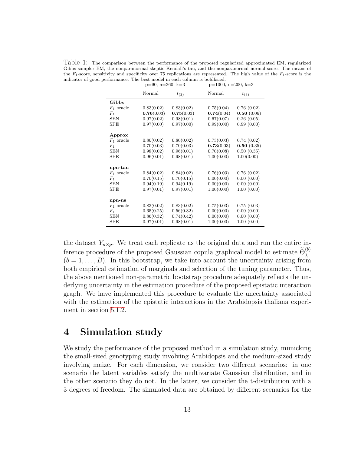<span id="page-12-1"></span>Table 1: The comparison between the performance of the proposed regularized approximated EM, regularized Gibbs sampler EM, the nonparanormal skeptic Kendall's tau, and the nonparanormal normal-score. The means of the  $F_1$ -score, sensitivity and specificity over 75 replications are represented. The high value of the  $F_1$ -score is the indicator of good performance. The best model in each column is boldfaced.

|                | $p=90$ , $n=360$ , $k=3$ |            | $p=1000, n=200, k=3$ |            |  |
|----------------|--------------------------|------------|----------------------|------------|--|
|                | <b>Normal</b>            | $t_{(3)}$  | Normal               | $t_{(3)}$  |  |
| Gibbs          |                          |            |                      |            |  |
| $F_1$ oracle   | 0.83(0.02)               | 0.83(0.02) | 0.75(0.04)           | 0.76(0.02) |  |
| $F_1$          | 0.76(0.03)               | 0.75(0.03) | 0.74(0.04)           | 0.50(0.06) |  |
| <b>SEN</b>     | 0.97(0.02)               | 0.98(0.01) | 0.67(0.07)           | 0.26(0.05) |  |
| <b>SPE</b>     | 0.97(0.00)               | 0.97(0.00) | 0.99(0.00)           | 0.99(0.00) |  |
| Approx         |                          |            |                      |            |  |
| $F_1$ oracle   | 0.80(0.02)               | 0.80(0.02) | 0.73(0.03)           | 0.74(0.02) |  |
| F <sub>1</sub> | 0.70(0.03)               | 0.70(0.03) | 0.73(0.03)           | 0.50(0.35) |  |
| <b>SEN</b>     | 0.98(0.02)               | 0.96(0.01) | 0.70(0.08)           | 0.50(0.35) |  |
| SPE            | 0.96(0.01)               | 0.98(0.01) | 1.00(0.00)           | 1.00(0.00) |  |
| npn-tau        |                          |            |                      |            |  |
| $F_1$ oracle   | 0.84(0.02)               | 0.84(0.02) | 0.76(0.03)           | 0.76(0.02) |  |
| $F_1$          | 0.70(0.15)               | 0.70(0.15) | 0.00(0.00)           | 0.00(0.00) |  |
| <b>SEN</b>     | 0.94(0.19)               | 0.94(0.19) | 0.00(0.00)           | 0.00(0.00) |  |
| SPE            | 0.97(0.01)               | 0.97(0.01) | 1.00(0.00)           | 1.00(0.00) |  |
| npn-ns         |                          |            |                      |            |  |
| $F_1$ oracle   | 0.83(0.02)               | 0.83(0.02) | 0.75(0.03)           | 0.75(0.03) |  |
| $F_1$          | 0.65(0.25)               | 0.56(0.32) | 0.00(0.00)           | 0.00(0.00) |  |
| <b>SEN</b>     | 0.86(0.32)               | 0.74(0.42) | 0.00(0.00)           | 0.00(0.00) |  |
| <b>SPE</b>     | 0.97(0.01)               | 0.98(0.01) | 1.00(0.00)           | 1.00(0.00) |  |

the dataset  $Y_{n\times p}$ . We treat each replicate as the original data and run the entire inference procedure of the proposed Gaussian copula graphical model to estimate  $\widetilde{\Theta}_{\hat{\lambda}}^{(b)}$  $(b = 1, \ldots, B)$ . In this bootstrap, we take into account the uncertainty arising from both empirical estimation of marginals and selection of the tuning parameter. Thus, the above mentioned non-parametric bootstrap procedure adequately reflects the underlying uncertainty in the estimation procedure of the proposed epistatic interaction graph. We have implemented this procedure to evaluate the uncertainty associated with the estimation of the epistatic interactions in the Arabidopsis thaliana experiment in section [5.1.2.](#page-17-0)

### <span id="page-12-0"></span>4 Simulation study

We study the performance of the proposed method in a simulation study, mimicking the small-sized genotyping study involving Arabidopsis and the medium-sized study involving maize. For each dimension, we consider two different scenarios: in one scenario the latent variables satisfy the multivariate Gaussian distribution, and in the other scenario they do not. In the latter, we consider the t-distribution with a 3 degrees of freedom. The simulated data are obtained by different scenarios for the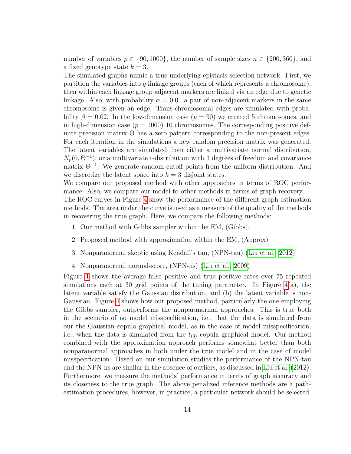number of variables  $p \in \{90, 1000\}$ , the number of sample sizes  $n \in \{200, 360\}$ , and a fixed genotype state  $k = 3$ .

The simulated graphs mimic a true underlying epistasis selection network. First, we partition the variables into g linkage groups (each of which represents a chromosome), then within each linkage group adjacent markers are linked via an edge due to genetic linkage. Also, with probability  $\alpha = 0.01$  a pair of non-adjacent markers in the same chromosome is given an edge. Trans-chromosomal edges are simulated with probability  $\beta = 0.02$ . In the low-dimension case  $(p = 90)$  we created 5 chromosomes, and in high-dimension case  $(p = 1000)$  10 chromosomes. The corresponding positive definite precision matrix  $\Theta$  has a zero pattern corresponding to the non-present edges. For each iteration in the simulations a new random precision matrix was generated. The latent variables are simulated from either a multivariate normal distribution,  $N_p(0, \Theta^{-1})$ , or a multivariate t-distribution with 3 degrees of freedom and covariance matrix  $\Theta^{-1}$ . We generate random cutoff points from the uniform distribution. And we discretize the latent space into  $k = 3$  disjoint states.

We compare our proposed method with other approaches in terms of ROC performance. Also, we compare our model to other methods in terms of graph recovery.

The ROC curves in Figure [4](#page-11-0) show the performance of the different graph estimation methods. The area under the curve is used as a measure of the quality of the methods in recovering the true graph. Here, we compare the following methods:

- 1. Our method with Gibbs sampler within the EM, (Gibbs).
- 2. Proposed method with approximation within the EM, (Approx)
- 3. Nonparanormal skeptic using Kendall's tau, (NPN-tau) [\(Liu et al., 2012\)](#page-25-2)
- 4. Nonparanormal normal-score, (NPN-ns) [\(Liu et al., 2009\)](#page-25-1)

Figure [4](#page-11-0) shows the average false positive and true positive rates over 75 repeated simulations each at 30 grid points of the tuning parameter. In Figure  $4(a)$ , the latent variable satisfy the Gaussian distribution, and (b) the latent variable is non-Gaussian. Figure [4](#page-11-0) shows how our proposed method, particularly the one employing the Gibbs sampler, outperforms the nonparanormal approaches. This is true both in the scenario of no model misspecification, i.e., that the data is simulated from our the Gaussian copula graphical model, as in the case of model misspecification, i.e., when the data is simulated from the  $t_{(3)}$  copula graphical model. Our method combined with the approximation approach performs somewhat better than both nonparanormal approaches in both under the true model and in the case of model misspecification. Based on our simulation studies the performance of the NPN-tau and the NPN-ns are similar in the absence of outliers, as discussed in [Liu et al.](#page-25-2) [\(2012\)](#page-25-2). Furthermore, we measure the methods' performance in terms of graph accuracy and its closeness to the true graph. The above penalized inference methods are a pathestimation procedures, however, in practice, a particular network should be selected.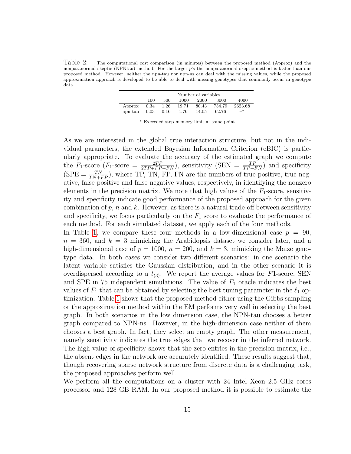<span id="page-14-0"></span>Table 2: The computational cost comparison (in minutes) between the proposed method (Approx) and the nonparanormal skeptic (NPNtau) method. For the larger p's the nonparanormal skeptic method is faster than our proposed method. However, neither the npn-tau nor npn-ns can deal with the missing values, while the proposed approximation approach is developed to be able to deal with missing genotypes that commonly occur in genotype data.

|         |      |      |       | Number of variables |        |         |
|---------|------|------|-------|---------------------|--------|---------|
|         | 100  | 500  | 1000  | 2000                | 3000   | 4000    |
| Approx  | 0.34 | 1.26 | 19.71 | 80.43               | 734.79 | 2623.68 |
| npn-tau | 0.03 | 0.16 | 1.76  | 14.05               | 62.76  | $-^*$   |

<sup>∗</sup> Exceeded step memory limit at some point

As we are interested in the global true interaction structure, but not in the individual parameters, the extended Bayesian Information Criterion (eBIC) is particularly appropriate. To evaluate the accuracy of the estimated graph we compute the  $F_1$ -score  $(F_1$ -score  $=\frac{2TP}{2TP+FP+FN}$ , sensitivity  $(SEN = \frac{TP}{TP+FN})$  and specificity  $(SPE = \frac{TN}{TN+FP}$ , where TP, TN, FP, FN are the numbers of true positive, true negative, false positive and false negative values, respectively, in identifying the nonzero elements in the precision matrix. We note that high values of the  $F_1$ -score, sensitivity and specificity indicate good performance of the proposed approach for the given combination of  $p$ ,  $n$  and  $k$ . However, as there is a natural trade-off between sensitivity and specificity, we focus particularly on the  $F_1$  score to evaluate the performance of each method. For each simulated dataset, we apply each of the four methods.

In Table [1,](#page-12-1) we compare these four methods in a low-dimensional case  $p = 90$ ,  $n = 360$ , and  $k = 3$  mimicking the Arabidopsis dataset we consider later, and a high-dimensional case of  $p = 1000$ ,  $n = 200$ , and  $k = 3$ , mimicking the Maize genotype data. In both cases we consider two different scenarios: in one scenario the latent variable satisfies the Gaussian distribution, and in the other scenario it is overdispersed according to a  $t_{(3)}$ . We report the average values for F1-score, SEN and SPE in 75 independent simulations. The value of  $F_1$  oracle indicates the best values of  $F_1$  that can be obtained by selecting the best tuning parameter in the  $\ell_1$  optimization. Table [1](#page-12-1) shows that the proposed method either using the Gibbs sampling or the approximation method within the EM performs very well in selecting the best graph. In both scenarios in the low dimension case, the NPN-tau chooses a better graph compared to NPN-ns. However, in the high-dimension case neither of them chooses a best graph. In fact, they select an empty graph. The other measurement, namely sensitivity indicates the true edges that we recover in the inferred network. The high value of specificity shows that the zero entries in the precision matrix, i.e., the absent edges in the network are accurately identified. These results suggest that, though recovering sparse network structure from discrete data is a challenging task, the proposed approaches perform well.

We perform all the computations on a cluster with 24 Intel Xeon 2.5 GHz cores processor and 128 GB RAM. In our proposed method it is possible to estimate the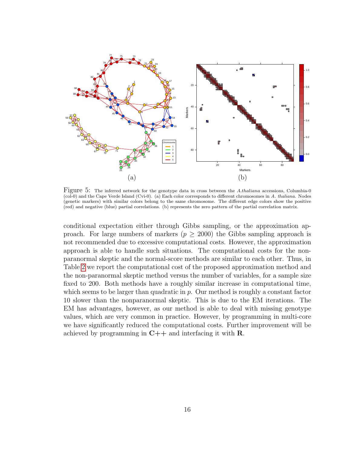

<span id="page-15-0"></span>Figure 5: The inferred network for the genotype data in cross between the A.thaliana accessions, Columbia-0 (col-0) and the Cape Verde Island (Cvi-0). (a) Each color corresponds to different chromosomes in A. thaliana. Nodes (genetic markers) with similar colors belong to the same chromosome. The different edge colors show the positive (red) and negative (blue) partial correlations. (b) represents the zero pattern of the partial correlation matrix.

conditional expectation either through Gibbs sampling, or the approximation approach. For large numbers of markers ( $p \geq 2000$ ) the Gibbs sampling approach is not recommended due to excessive computational costs. However, the approximation approach is able to handle such situations. The computational costs for the nonparanormal skeptic and the normal-score methods are similar to each other. Thus, in Table [2](#page-14-0) we report the computational cost of the proposed approximation method and the non-paranormal skeptic method versus the number of variables, for a sample size fixed to 200. Both methods have a roughly similar increase in computational time, which seems to be larger than quadratic in  $p$ . Our method is roughly a constant factor 10 slower than the nonparanormal skeptic. This is due to the EM iterations. The EM has advantages, however, as our method is able to deal with missing genotype values, which are very common in practice. However, by programming in multi-core we have significantly reduced the computational costs. Further improvement will be achieved by programming in  $C++$  and interfacing it with **R**.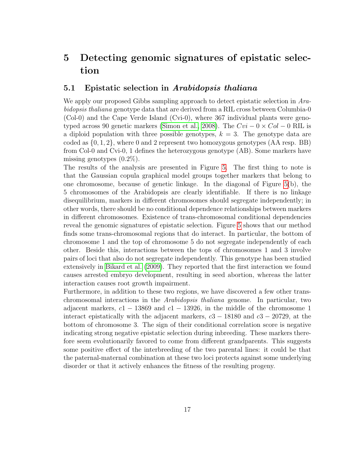## 5 Detecting genomic signatures of epistatic selection

### <span id="page-16-0"></span>5.1 Epistatic selection in Arabidopsis thaliana

We apply our proposed Gibbs sampling approach to detect epistatic selection in Arabidopsis thaliana genotype data that are derived from a RIL cross between Columbia-0 (Col-0) and the Cape Verde Island (Cvi-0), where 367 individual plants were geno-typed across 90 genetic markers [\(Simon et al., 2008\)](#page-26-9). The  $Cvi - 0 \times Col - 0$  RIL is a diploid population with three possible genotypes,  $k = 3$ . The genotype data are coded as  $\{0, 1, 2\}$ , where 0 and 2 represent two homozygous genotypes  $(AA$  resp. BB) from Col-0 and Cvi-0, 1 defines the heterozygous genotype (AB). Some markers have missing genotypes  $(0.2\%)$ .

The results of the analysis are presented in Figure [5.](#page-15-0) The first thing to note is that the Gaussian copula graphical model groups together markers that belong to one chromosome, because of genetic linkage. In the diagonal of Figure [5\(](#page-15-0)b), the 5 chromosomes of the Arabidopsis are clearly identifiable. If there is no linkage disequilibrium, markers in different chromosomes should segregate independently; in other words, there should be no conditional dependence relationships between markers in different chromosomes. Existence of trans-chromosomal conditional dependencies reveal the genomic signatures of epistatic selection. Figure [5](#page-15-0) shows that our method finds some trans-chromosomal regions that do interact. In particular, the bottom of chromosome 1 and the top of chromosome 5 do not segregate independently of each other. Beside this, interactions between the tops of chromosomes 1 and 3 involve pairs of loci that also do not segregate independently. This genotype has been studied extensively in [Bikard et al.](#page-22-3) [\(2009\)](#page-22-3). They reported that the first interaction we found causes arrested embryo development, resulting in seed abortion, whereas the latter interaction causes root growth impairment.

Furthermore, in addition to these two regions, we have discovered a few other transchromosomal interactions in the Arabidopsis thaliana genome. In particular, two adjacent markers,  $c1 - 13869$  and  $c1 - 13926$ , in the middle of the chromosome 1 interact epistatically with the adjacent markers,  $c3 - 18180$  and  $c3 - 20729$ , at the bottom of chromosome 3. The sign of their conditional correlation score is negative indicating strong negative epistatic selection during inbreeding. These markers therefore seem evolutionarily favored to come from different grandparents. This suggests some positive effect of the interbreeding of the two parental lines: it could be that the paternal-maternal combination at these two loci protects against some underlying disorder or that it actively enhances the fitness of the resulting progeny.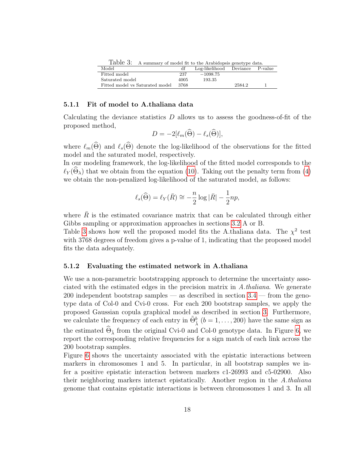<span id="page-17-1"></span>Table 3: A summary of model fit to the Arabidopsis genotype data.

| Model                           | df   | Log-likelihood | Deviance | P-value |
|---------------------------------|------|----------------|----------|---------|
| Fitted model                    | 237  | $-1098.75$     |          |         |
| Saturated model                 | 4005 | 193.35         |          |         |
| Fitted model vs Saturated model | 3768 |                | 2584.2   |         |
|                                 |      |                |          |         |

#### 5.1.1 Fit of model to A.thaliana data

Calculating the deviance statistics  $D$  allows us to assess the goodness-of-fit of the proposed method,

$$
D = -2[\ell_m(\widehat{\Theta}) - \ell_s(\widehat{\Theta})],
$$

where  $\ell_m(\widehat{\Theta})$  and  $\ell_s(\widehat{\Theta})$  denote the log-likelihood of the observations for the fitted model and the saturated model, respectively.

In our modeling framework, the log-likelihood of the fitted model corresponds to the  $\ell_Y(\Theta_\lambda)$  that we obtain from the equation [\(10\)](#page-10-0). Taking out the penalty term from [\(4\)](#page-7-1) we obtain the non-penalized log-likelihood of the saturated model, as follows:

$$
\ell_s(\widehat{\Theta}) = \ell_Y(\bar{R}) \cong -\frac{n}{2}\log|\bar{R}| - \frac{1}{2}np,
$$

where  $R$  is the estimated covariance matrix that can be calculated through either Gibbs sampling or approximation approaches in sections [3.2](#page-7-2) A or B.

Table [3](#page-17-1) shows how well the proposed model fits the A.thaliana data. The  $\chi^2$  test with 3768 degrees of freedom gives a p-value of 1, indicating that the proposed model fits the data adequately.

#### <span id="page-17-0"></span>5.1.2 Evaluating the estimated network in A.thaliana

We use a non-parametric bootstrapping approach to determine the uncertainty associated with the estimated edges in the precision matrix in  $A$ .thaliana. We generate 200 independent bootstrap samples — as described in section  $3.4$  — from the genotype data of Col-0 and Cvi-0 cross. For each 200 bootstrap samples, we apply the proposed Gaussian copula graphical model as described in section [3.](#page-5-0) Furthermore, we calculate the frequency of each entry in  $\tilde{\Theta}^b_{\hat{\lambda}}$   $(b = 1, \ldots, 200)$  have the same sign as the estimated  $\Theta_{\hat{\lambda}}$  from the original Cvi-0 and Col-0 genotype data. In Figure [6,](#page-18-0) we report the corresponding relative frequencies for a sign match of each link across the 200 bootstrap samples.

Figure [6](#page-18-0) shows the uncertainty associated with the epistatic interactions between markers in chromosomes 1 and 5. In particular, in all bootstrap samples we infer a positive epistatic interaction between markers c1-26993 and c5-02900. Also their neighboring markers interact epistatically. Another region in the A.thaliana genome that contains epistatic interactions is between chromosomes 1 and 3. In all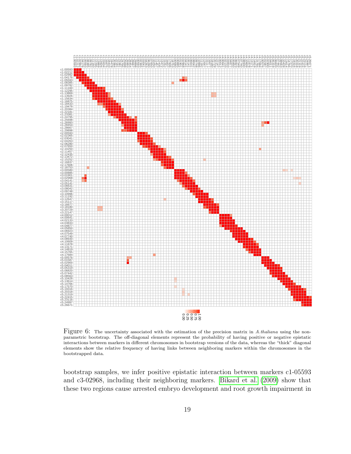

<span id="page-18-0"></span>Figure 6: The uncertainty associated with the estimation of the precision matrix in A.thaliana using the nonparametric bootstrap. The off-diagonal elements represent the probability of having positive or negative epistatic interactions between markers in different chromosomes in bootstrap versions of the data, whereas the "thick" diagonal elements show the relative frequency of having links between neighboring markers within the chromosomes in the bootstrapped data.

bootstrap samples, we infer positive epistatic interaction between markers c1-05593 and c3-02968, including their neighboring markers. [Bikard et al.](#page-22-3) [\(2009\)](#page-22-3) show that these two regions cause arrested embryo development and root growth impairment in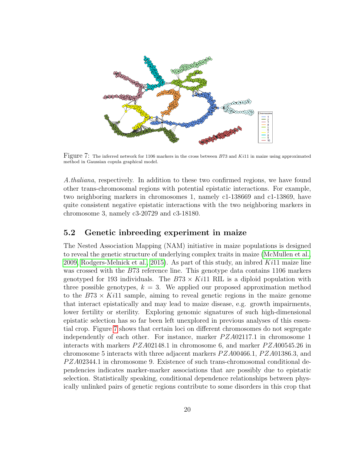

<span id="page-19-1"></span>Figure 7: The inferred network for 1106 markers in the cross between <sup>B</sup>73 and Ki11 in maize using approximated method in Gaussian copula graphical model.

A.thaliana, respectively. In addition to these two confirmed regions, we have found other trans-chromosomal regions with potential epistatic interactions. For example, two neighboring markers in chromosomes 1, namely c1-138669 and c1-13869, have quite consistent negative epistatic interactions with the two neighboring markers in chromosome 3, namely c3-20729 and c3-18180.

### <span id="page-19-0"></span>5.2 Genetic inbreeding experiment in maize

The Nested Association Mapping (NAM) initiative in maize populations is designed to reveal the genetic structure of underlying complex traits in maize [\(McMullen et al.,](#page-25-12) [2009,](#page-25-12) [Rodgers-Melnick et al., 2015\)](#page-26-10). As part of this study, an inbred  $Ki11$  maize line was crossed with the B73 reference line. This genotype data contains 1106 markers genotyped for 193 individuals. The  $B73 \times Ki11$  RIL is a diploid population with three possible genotypes,  $k = 3$ . We applied our proposed approximation method to the  $B73 \times Ki11$  sample, aiming to reveal genetic regions in the maize genome that interact epistatically and may lead to maize disease, e.g. growth impairments, lower fertility or sterility. Exploring genomic signatures of such high-dimensional epistatic selection has so far been left unexplored in previous analyses of this essential crop. Figure [7](#page-19-1) shows that certain loci on different chromosomes do not segregate independently of each other. For instance, marker  $PZA02117.1$  in chromosome 1 interacts with markers  $P ZA02148.1$  in chromosome 6, and marker  $P ZA00545.26$  in chromosome 5 interacts with three adjacent markers  $P Z A 00466.1$ ,  $P Z A 01386.3$ , and P ZA02344.1 in chromosome 9. Existence of such trans-chromosomal conditional dependencies indicates marker-marker associations that are possibly due to epistatic selection. Statistically speaking, conditional dependence relationships between physically unlinked pairs of genetic regions contribute to some disorders in this crop that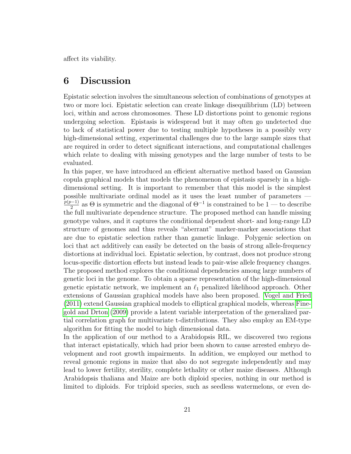affect its viability.

### 6 Discussion

Epistatic selection involves the simultaneous selection of combinations of genotypes at two or more loci. Epistatic selection can create linkage disequilibrium (LD) between loci, within and across chromosomes. These LD distortions point to genomic regions undergoing selection. Epistasis is widespread but it may often go undetected due to lack of statistical power due to testing multiple hypotheses in a possibly very high-dimensional setting, experimental challenges due to the large sample sizes that are required in order to detect significant interactions, and computational challenges which relate to dealing with missing genotypes and the large number of tests to be evaluated.

In this paper, we have introduced an efficient alternative method based on Gaussian copula graphical models that models the phenomenon of epistasis sparsely in a highdimensional setting. It is important to remember that this model is the simplest possible multivariate ordinal model as it uses the least number of parameters —  $\frac{p(p-1)}{2}$  as  $\Theta$  is symmetric and the diagonal of  $\Theta^{-1}$  is constrained to be 1 — to describe <sup>2</sup> as  $\sigma$  is symmetric and the diagonal of  $\sigma$  is constrained to be 1<sup>2</sup> to describe the full multivariate dependence structure. The proposed method can handle missing genotype values, and it captures the conditional dependent short- and long-range LD structure of genomes and thus reveals "aberrant" marker-marker associations that are due to epistatic selection rather than gametic linkage. Polygenic selection on loci that act additively can easily be detected on the basis of strong allele-frequency distortions at individual loci. Epistatic selection, by contrast, does not produce strong locus-specific distortion effects but instead leads to pair-wise allele frequency changes. The proposed method explores the conditional dependencies among large numbers of genetic loci in the genome. To obtain a sparse representation of the high-dimensional genetic epistatic network, we implement an  $\ell_1$  penalized likelihood approach. Other extensions of Gaussian graphical models have also been proposed. [Vogel and Fried](#page-26-11) [\(2011\)](#page-26-11) extend Gaussian graphical models to elliptical graphical models, whereas [Fine](#page-24-3)[gold and Drton](#page-24-3) [\(2009\)](#page-24-3) provide a latent variable interpretation of the generalized partial correlation graph for multivariate t-distributions. They also employ an EM-type algorithm for fitting the model to high dimensional data.

In the application of our method to a Arabidopsis RIL, we discovered two regions that interact epistatically, which had prior been shown to cause arrested embryo development and root growth impairments. In addition, we employed our method to reveal genomic regions in maize that also do not segregate independently and may lead to lower fertility, sterility, complete lethality or other maize diseases. Although Arabidopsis thaliana and Maize are both diploid species, nothing in our method is limited to diploids. For triploid species, such as seedless watermelons, or even de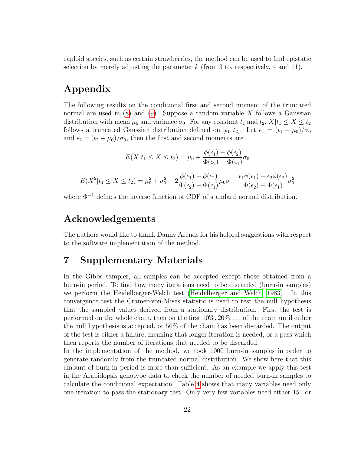caploid species, such as certain strawberries, the method can be used to find epistatic selection by merely adjusting the parameter  $k$  (from 3 to, respectively, 4 and 11).

### Appendix

The following results on the conditional first and second moment of the truncated normal are used in  $(8)$  and  $(9)$ . Suppose a random variable X follows a Gaussian distribution with mean  $\mu_0$  and variance  $\sigma_0$ . For any constant  $t_1$  and  $t_2$ ,  $X|t_1 \leq X \leq t_2$ follows a truncated Gaussian distribution defined on [ $t_1, t_2$ ]. Let  $\epsilon_1 = (t_1 - \mu_0)/\sigma_0$ and  $\epsilon_2 = (t_2 - \mu_0)/\sigma_0$ , then the first and second moments are

$$
E(X|t_1 \le X \le t_2) = \mu_0 + \frac{\phi(\epsilon_1) - \phi(\epsilon_2)}{\Phi(\epsilon_2) - \Phi(\epsilon_1)} \sigma_0
$$
  

$$
E(X^2|t_1 \le X \le t_2) = \mu_0^2 + \sigma_0^2 + 2\frac{\phi(\epsilon_1) - \phi(\epsilon_2)}{\Phi(\epsilon_2) - \Phi(\epsilon_1)}\mu_0 \sigma + \frac{\epsilon_1 \phi(\epsilon_1) - \epsilon_2 \phi(\epsilon_2)}{\Phi(\epsilon_2) - \Phi(\epsilon_1)}\sigma_0^2
$$

where  $\Phi^{-1}$  defines the inverse function of CDF of standard normal distribution.

### Acknowledgements

The authors would like to thank Danny Arends for his helpful suggestions with respect to the software implementation of the method.

### 7 Supplementary Materials

In the Gibbs sampler, all samples can be accepted except those obtained from a burn-in period. To find how many iterations need to be discarded (burn-in samples) we perform the Heidelberger-Welch test [\(Heidelberger and Welch, 1983\)](#page-25-13). In this convergence test the Cramer-von-Mises statistic is used to test the null hypothesis that the sampled values derived from a stationary distribution. First the test is performed on the whole chain, then on the first  $10\%, 20\%, \ldots$  of the chain until either the null hypothesis is accepted, or 50% of the chain has been discarded. The output of the test is either a failure, meaning that longer iteration is needed, or a pass which then reports the number of iterations that needed to be discarded.

In the implementation of the method, we took 1000 burn-in samples in order to generate randomly from the truncated normal distribution. We show here that this amount of burn-in period is more than sufficient. As an example we apply this test in the Arabidopsis genotype data to check the number of needed burn-in samples to calculate the conditional expectation. Table [4](#page-23-0) shows that many variables need only one iteration to pass the stationary test. Only very few variables need either 151 or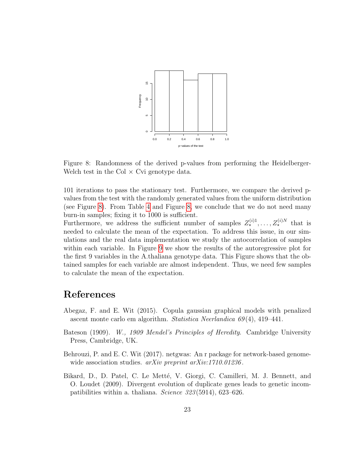

<span id="page-22-4"></span>Figure 8: Randomness of the derived p-values from performing the Heidelberger-Welch test in the Col  $\times$  Cvi genotype data.

101 iterations to pass the stationary test. Furthermore, we compare the derived pvalues from the test with the randomly generated values from the uniform distribution (see Figure [8\)](#page-22-4). From Table [4](#page-23-0) and Figure [8,](#page-22-4) we conclude that we do not need many burn-in samples; fixing it to 1000 is sufficient.

Furthermore, we address the sufficient number of samples  $Z_{\star}^{(i)1}, \ldots, Z_{\star}^{(i)N}$  that is needed to calculate the mean of the expectation. To address this issue, in our simulations and the real data implementation we study the autocorrelation of samples within each variable. In Figure [9](#page-24-4) we show the results of the autoregressive plot for the first 9 variables in the A.thaliana genotype data. This Figure shows that the obtained samples for each variable are almost independent. Thus, we need few samples to calculate the mean of the expectation.

### References

- <span id="page-22-2"></span>Abegaz, F. and E. Wit (2015). Copula gaussian graphical models with penalized ascent monte carlo em algorithm. Statistica Neerlandica 69 (4), 419–441.
- <span id="page-22-1"></span>Bateson (1909). W., 1909 Mendel's Principles of Heredity. Cambridge University Press, Cambridge, UK.
- <span id="page-22-0"></span>Behrouzi, P. and E. C. Wit (2017). netgwas: An r package for network-based genomewide association studies.  $arXiv$  preprint  $arXiv:1710.01236$ .
- <span id="page-22-3"></span>Bikard, D., D. Patel, C. Le Metté, V. Giorgi, C. Camilleri, M. J. Bennett, and O. Loudet (2009). Divergent evolution of duplicate genes leads to genetic incompatibilities within a. thaliana. Science 323 (5914), 623–626.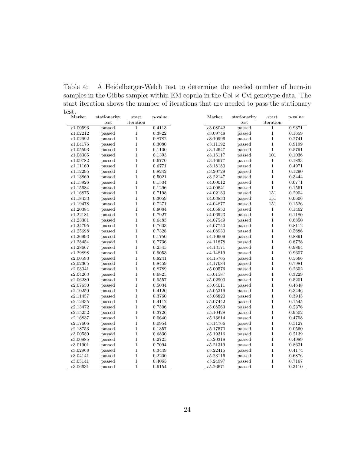<span id="page-23-0"></span>Table 4: A Heidelberger-Welch test to determine the needed number of burn-in samples in the Gibbs sampler within EM copula in the Col  $\times$  Cvi genotype data. The start iteration shows the number of iterations that are needed to pass the stationary test.

| iteration<br>iteration<br>test<br>test<br>c1.00593<br>$\overline{1}$<br>0.4113<br>c3.08042<br>$\overline{1}$<br>0.9371<br>passed<br>passed<br>$\mathbf{1}$<br>0.3822<br>c3.09748<br>0.1659<br>c1.02212<br>passed<br>$\mathbf{1}$<br>passed<br>c1.02992<br>$\mathbf{1}$<br>passed<br>0.8782<br>c3.10996<br>passed<br>$\mathbf{1}$<br>0.2741<br>$\mathbf{1}$<br>$\,1$<br>0.9199<br>c1.04176<br>passed<br>0.3080<br>c3.11192<br>passed<br>$\mathbf{1}$<br>$\,1$<br>0.5791<br>c1.05593<br>passed<br>0.1100<br>c3.12647<br>passed<br>$\mathbf{1}$<br>101<br>c1.08385<br>passed<br>0.1393<br>c3.15117<br>0.1036<br>passed<br>$\mathbf{1}$<br>c1.09782<br>passed<br>0.6770<br>c3.16677<br>passed<br>$\mathbf{1}$<br>0.1833<br>$\mathbf{1}$<br>c1.11160<br>passed<br>0.6771<br>c3.18180<br>$\mathbf{1}$<br>0.4971<br>passed<br>$\mathbf{1}$<br>0.1290<br>c1.12295<br>0.8242<br>c3.20729<br>$\mathbf{1}$<br>passed<br>passed<br>$\mathbf{1}$<br>$\,1$<br>c1.13869<br>0.5021<br>c3.22147<br>0.3444<br>passed<br>passed |
|--------------------------------------------------------------------------------------------------------------------------------------------------------------------------------------------------------------------------------------------------------------------------------------------------------------------------------------------------------------------------------------------------------------------------------------------------------------------------------------------------------------------------------------------------------------------------------------------------------------------------------------------------------------------------------------------------------------------------------------------------------------------------------------------------------------------------------------------------------------------------------------------------------------------------------------------------------------------------------------------------------------|
|                                                                                                                                                                                                                                                                                                                                                                                                                                                                                                                                                                                                                                                                                                                                                                                                                                                                                                                                                                                                              |
|                                                                                                                                                                                                                                                                                                                                                                                                                                                                                                                                                                                                                                                                                                                                                                                                                                                                                                                                                                                                              |
|                                                                                                                                                                                                                                                                                                                                                                                                                                                                                                                                                                                                                                                                                                                                                                                                                                                                                                                                                                                                              |
|                                                                                                                                                                                                                                                                                                                                                                                                                                                                                                                                                                                                                                                                                                                                                                                                                                                                                                                                                                                                              |
|                                                                                                                                                                                                                                                                                                                                                                                                                                                                                                                                                                                                                                                                                                                                                                                                                                                                                                                                                                                                              |
|                                                                                                                                                                                                                                                                                                                                                                                                                                                                                                                                                                                                                                                                                                                                                                                                                                                                                                                                                                                                              |
|                                                                                                                                                                                                                                                                                                                                                                                                                                                                                                                                                                                                                                                                                                                                                                                                                                                                                                                                                                                                              |
|                                                                                                                                                                                                                                                                                                                                                                                                                                                                                                                                                                                                                                                                                                                                                                                                                                                                                                                                                                                                              |
|                                                                                                                                                                                                                                                                                                                                                                                                                                                                                                                                                                                                                                                                                                                                                                                                                                                                                                                                                                                                              |
|                                                                                                                                                                                                                                                                                                                                                                                                                                                                                                                                                                                                                                                                                                                                                                                                                                                                                                                                                                                                              |
|                                                                                                                                                                                                                                                                                                                                                                                                                                                                                                                                                                                                                                                                                                                                                                                                                                                                                                                                                                                                              |
| $\mathbf{1}$<br>$\,1$<br>c1.13926<br>0.6771<br>passed<br>0.1504<br>c4.00012<br>passed                                                                                                                                                                                                                                                                                                                                                                                                                                                                                                                                                                                                                                                                                                                                                                                                                                                                                                                        |
| $\mathbf{1}$<br>c1.15634<br>0.1296<br>c4.00641<br>$\mathbf{1}$<br>0.1561<br>passed<br>passed                                                                                                                                                                                                                                                                                                                                                                                                                                                                                                                                                                                                                                                                                                                                                                                                                                                                                                                 |
| $\mathbf{1}$<br>151<br>c1.16875<br>0.7198<br>c4.02133<br>0.2904<br>passed<br>passed                                                                                                                                                                                                                                                                                                                                                                                                                                                                                                                                                                                                                                                                                                                                                                                                                                                                                                                          |
| $\mathbf{1}$<br>151<br>c1.18433<br>0.3059<br>c4.03833<br>0.0606<br>passed<br>passed                                                                                                                                                                                                                                                                                                                                                                                                                                                                                                                                                                                                                                                                                                                                                                                                                                                                                                                          |
| $\mathbf{1}$<br>0.7271<br>151<br>0.1526<br>c1.19478<br>passed<br>c4.04877<br>passed                                                                                                                                                                                                                                                                                                                                                                                                                                                                                                                                                                                                                                                                                                                                                                                                                                                                                                                          |
| $\mathbf{1}$<br>c1.20384<br>c4.05850<br>0.1462<br>passed<br>0.8084<br>passed<br>$\mathbf{1}$                                                                                                                                                                                                                                                                                                                                                                                                                                                                                                                                                                                                                                                                                                                                                                                                                                                                                                                 |
| $\mathbf{1}$<br>$\mathbf{1}$<br>c1.22181<br>passed<br>0.7927<br>c4.06923<br>passed<br>0.1180                                                                                                                                                                                                                                                                                                                                                                                                                                                                                                                                                                                                                                                                                                                                                                                                                                                                                                                 |
| $\mathbf{1}$<br>$\mathbf{1}$<br>0.6850<br>c1.23381<br>passed<br>0.6483<br>c4.07549<br>passed                                                                                                                                                                                                                                                                                                                                                                                                                                                                                                                                                                                                                                                                                                                                                                                                                                                                                                                 |
| $\mathbf{1}$<br>c1.24795<br>0.7603<br>c4.07740<br>$\mathbf{1}$<br>0.8112<br>passed<br>passed                                                                                                                                                                                                                                                                                                                                                                                                                                                                                                                                                                                                                                                                                                                                                                                                                                                                                                                 |
| $\mathbf{1}$<br>0.7328<br>$\mathbf{1}$<br>0.5886<br>c1.25698<br>passed<br>c4.08930<br>passed                                                                                                                                                                                                                                                                                                                                                                                                                                                                                                                                                                                                                                                                                                                                                                                                                                                                                                                 |
| $\mathbf{1}$<br>c1.26993<br>0.8891<br>passed<br>0.1750<br>c4.10609<br>passed<br>$\mathbf{1}$                                                                                                                                                                                                                                                                                                                                                                                                                                                                                                                                                                                                                                                                                                                                                                                                                                                                                                                 |
| $\mathbf{1}$<br>c1.28454<br>0.7736<br>c4.11878<br>$\mathbf{1}$<br>0.8728<br>passed<br>passed                                                                                                                                                                                                                                                                                                                                                                                                                                                                                                                                                                                                                                                                                                                                                                                                                                                                                                                 |
| $\mathbf{1}$<br>0.2545<br>$\,1$<br>c1.28667<br>passed<br>c4.13171<br>0.9864<br>passed                                                                                                                                                                                                                                                                                                                                                                                                                                                                                                                                                                                                                                                                                                                                                                                                                                                                                                                        |
| $\mathbf{1}$<br>c1.29898<br>passed<br>0.9053<br>c4.14819<br>$\mathbf{1}$<br>0.9607<br>passed                                                                                                                                                                                                                                                                                                                                                                                                                                                                                                                                                                                                                                                                                                                                                                                                                                                                                                                 |
| $\mathbf{1}$<br>$\mathbf{1}$<br>c2.00593<br>passed<br>0.8241<br>c4.15765<br>0.5666<br>passed                                                                                                                                                                                                                                                                                                                                                                                                                                                                                                                                                                                                                                                                                                                                                                                                                                                                                                                 |
| $\mathbf{1}$<br>$\mathbf{1}$<br>c2.02365<br>passed<br>0.8459<br>c4.17684<br>0.7981<br>passed                                                                                                                                                                                                                                                                                                                                                                                                                                                                                                                                                                                                                                                                                                                                                                                                                                                                                                                 |
| $\mathbf{1}$<br>0.2602<br>c2.03041<br>passed<br>0.8789<br>c5.00576<br>passed<br>$\mathbf{1}$                                                                                                                                                                                                                                                                                                                                                                                                                                                                                                                                                                                                                                                                                                                                                                                                                                                                                                                 |
| $\mathbf{1}$<br>0.6825<br>0.3229<br>c2.04263<br>c5.01587<br>$\mathbf{1}$<br>passed<br>passed                                                                                                                                                                                                                                                                                                                                                                                                                                                                                                                                                                                                                                                                                                                                                                                                                                                                                                                 |
| $\mathbf{1}$<br>$\,1$<br>c2.06280<br>0.9557<br>0.5201<br>passed<br>c5.02900<br>passed                                                                                                                                                                                                                                                                                                                                                                                                                                                                                                                                                                                                                                                                                                                                                                                                                                                                                                                        |
| $\mathbf{1}$<br>$\,1$<br>c2.07650<br>0.5034<br>0.4648<br>passed<br>c5.04011<br>passed                                                                                                                                                                                                                                                                                                                                                                                                                                                                                                                                                                                                                                                                                                                                                                                                                                                                                                                        |
| $\mathbf{1}$<br>c2.10250<br>passed<br>0.4120<br>c5.05319<br>$\mathbf{1}$<br>0.3446<br>passed                                                                                                                                                                                                                                                                                                                                                                                                                                                                                                                                                                                                                                                                                                                                                                                                                                                                                                                 |
| $\mathbf{1}$<br>$\,1$<br>c2.11457<br>passed<br>0.3760<br>c5.06820<br>passed<br>0.3945                                                                                                                                                                                                                                                                                                                                                                                                                                                                                                                                                                                                                                                                                                                                                                                                                                                                                                                        |
| $\mathbf{1}$<br>c2.12435<br>0.4112<br>c5.07442<br>$\mathbf{1}$<br>0.1545<br>passed<br>passed                                                                                                                                                                                                                                                                                                                                                                                                                                                                                                                                                                                                                                                                                                                                                                                                                                                                                                                 |
| $\mathbf{1}$<br>c2.13472<br>0.7506<br>c5.08563<br>$\mathbf{1}$<br>0.2376<br>passed<br>passed                                                                                                                                                                                                                                                                                                                                                                                                                                                                                                                                                                                                                                                                                                                                                                                                                                                                                                                 |
| $\mathbf{1}$<br>c2.15252<br>0.3726<br>c5.10428<br>$\mathbf{1}$<br>0.9502<br>passed<br>passed                                                                                                                                                                                                                                                                                                                                                                                                                                                                                                                                                                                                                                                                                                                                                                                                                                                                                                                 |
| $\mathbf{1}$<br>0.0640<br>$\mathbf{1}$<br>0.4708<br>c2.16837<br>passed<br>c5.13614<br>passed                                                                                                                                                                                                                                                                                                                                                                                                                                                                                                                                                                                                                                                                                                                                                                                                                                                                                                                 |
| $\mathbf{1}$<br>c2.17606<br>0.0954<br>$\mathbf{1}$<br>0.5127<br>passed<br>c5.14766<br>passed                                                                                                                                                                                                                                                                                                                                                                                                                                                                                                                                                                                                                                                                                                                                                                                                                                                                                                                 |
| $\mathbf{1}$<br>c2.18753<br>0.1357<br>c5.17570<br>$\mathbf{1}$<br>0.0560<br>passed<br>passed                                                                                                                                                                                                                                                                                                                                                                                                                                                                                                                                                                                                                                                                                                                                                                                                                                                                                                                 |
| $\mathbf{1}$<br>0.6830<br>$\mathbf{1}$<br>0.2139<br>c3.00580<br>passed<br>c5.19316<br>passed                                                                                                                                                                                                                                                                                                                                                                                                                                                                                                                                                                                                                                                                                                                                                                                                                                                                                                                 |
| $\,1$<br>c3.00885<br>0.2725<br>c5.20318<br>0.4989<br>passed<br>passed<br>$\mathbf{1}$                                                                                                                                                                                                                                                                                                                                                                                                                                                                                                                                                                                                                                                                                                                                                                                                                                                                                                                        |
| $\mathbf{1}$<br>0.7094<br>c5.21319<br>$\mathbf{1}$<br>0.8631<br>c3.01901<br>passed<br>passed                                                                                                                                                                                                                                                                                                                                                                                                                                                                                                                                                                                                                                                                                                                                                                                                                                                                                                                 |
| $\mathbf{1}$<br>c5.22415<br>$\mathbf{1}$<br>c3.02968<br>passed<br>0.3449<br>0.4174<br>passed                                                                                                                                                                                                                                                                                                                                                                                                                                                                                                                                                                                                                                                                                                                                                                                                                                                                                                                 |
| $\mathbf{1}$<br>c3.04141<br>passed<br>0.2200<br>c5.23116<br>$\mathbf{1}$<br>0.6876<br>passed                                                                                                                                                                                                                                                                                                                                                                                                                                                                                                                                                                                                                                                                                                                                                                                                                                                                                                                 |
| $\mathbf{1}$<br>c5.24997<br>$\mathbf{1}$<br>c3.05141<br>passed<br>0.4065<br>passed<br>0.7167                                                                                                                                                                                                                                                                                                                                                                                                                                                                                                                                                                                                                                                                                                                                                                                                                                                                                                                 |
| $\mathbf{1}$<br>$\mathbf{1}$<br>c3.06631<br>passed<br>0.9154<br>c5.26671<br>passed<br>0.3110                                                                                                                                                                                                                                                                                                                                                                                                                                                                                                                                                                                                                                                                                                                                                                                                                                                                                                                 |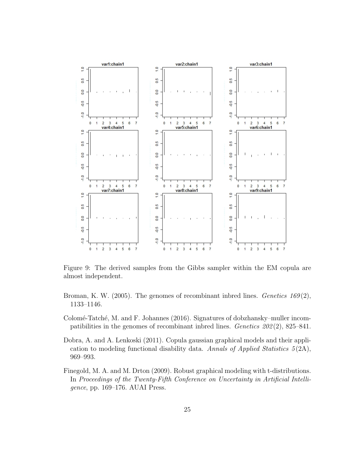

<span id="page-24-4"></span>Figure 9: The derived samples from the Gibbs sampler within the EM copula are almost independent.

- <span id="page-24-0"></span>Broman, K. W. (2005). The genomes of recombinant inbred lines. Genetics  $169(2)$ , 1133–1146.
- <span id="page-24-1"></span>Colomé-Tatché, M. and F. Johannes (2016). Signatures of dobzhansky–muller incompatibilities in the genomes of recombinant indired lines. Genetics  $202(2)$ , 825–841.
- <span id="page-24-2"></span>Dobra, A. and A. Lenkoski (2011). Copula gaussian graphical models and their application to modeling functional disability data. Annals of Applied Statistics  $5(2A)$ , 969–993.
- <span id="page-24-3"></span>Finegold, M. A. and M. Drton (2009). Robust graphical modeling with t-distributions. In Proceedings of the Twenty-Fifth Conference on Uncertainty in Artificial Intelligence, pp. 169–176. AUAI Press.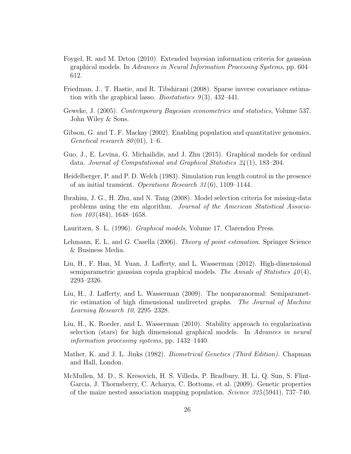- <span id="page-25-10"></span>Foygel, R. and M. Drton (2010). Extended bayesian information criteria for gaussian graphical models. In Advances in Neural Information Processing Systems, pp. 604– 612.
- <span id="page-25-5"></span>Friedman, J., T. Hastie, and R. Tibshirani (2008). Sparse inverse covariance estimation with the graphical lasso. *Biostatistics*  $9(3)$ ,  $432-441$ .
- <span id="page-25-6"></span>Geweke, J. (2005). Contemporary Bayesian econometrics and statistics, Volume 537. John Wiley & Sons.
- <span id="page-25-0"></span>Gibson, G. and T. F. Mackay (2002). Enabling population and quantitative genomics. Genetical research  $80(01)$ , 1–6.
- <span id="page-25-7"></span>Guo, J., E. Levina, G. Michailidis, and J. Zhu (2015). Graphical models for ordinal data. Journal of Computational and Graphical Statistics 24 (1), 183–204.
- <span id="page-25-13"></span>Heidelberger, P. and P. D. Welch (1983). Simulation run length control in the presence of an initial transient. Operations Research 31 (6), 1109–1144.
- <span id="page-25-9"></span>Ibrahim, J. G., H. Zhu, and N. Tang (2008). Model selection criteria for missing-data problems using the em algorithm. Journal of the American Statistical Association  $103(484)$ , 1648–1658.
- <span id="page-25-4"></span>Lauritzen, S. L. (1996). Graphical models, Volume 17. Clarendon Press.
- <span id="page-25-11"></span>Lehmann, E. L. and G. Casella (2006). *Theory of point estimation*. Springer Science & Business Media.
- <span id="page-25-2"></span>Liu, H., F. Han, M. Yuan, J. Lafferty, and L. Wasserman (2012). High-dimensional semiparametric gaussian copula graphical models. The Annals of Statistics  $40(4)$ , 2293–2326.
- <span id="page-25-1"></span>Liu, H., J. Lafferty, and L. Wasserman (2009). The nonparanormal: Semiparametric estimation of high dimensional undirected graphs. The Journal of Machine Learning Research 10, 2295–2328.
- <span id="page-25-8"></span>Liu, H., K. Roeder, and L. Wasserman (2010). Stability approach to regularization selection (stars) for high dimensional graphical models. In Advances in neural information processing systems, pp. 1432–1440.
- <span id="page-25-3"></span>Mather, K. and J. L. Jinks (1982). *Biometrical Genetics (Third Edition)*. Chapman and Hall, London.
- <span id="page-25-12"></span>McMullen, M. D., S. Kresovich, H. S. Villeda, P. Bradbury, H. Li, Q. Sun, S. Flint-Garcia, J. Thornsberry, C. Acharya, C. Bottoms, et al. (2009). Genetic properties of the maize nested association mapping population. Science 325 (5941), 737–740.